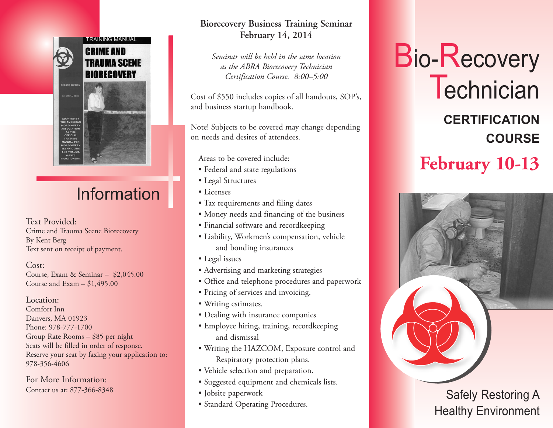

# Information

Text Provided: Crime and Trauma Scene Biorecovery By Kent Berg Text sent on receipt of payment.

Cost: Course, Exam & Seminar – \$2,045.00 Course and Exam – \$1,495.00

Location: Comfort Inn Danvers, MA 01923 Phone: 978-777-1700 Group Rate Rooms – \$85 per night Seats will be filled in order of response. Reserve your seat by faxing your application to: 978-356-4606

For More Information: Contact us at: 877-366-8348

#### **Biorecovery Business Training Seminar February 14, 2014**

*Seminar will be held in the same location as the ABRA Biorecovery Technician Certification Course. 8:00–5:00*

Cost of \$550 includes copies of all handouts, SOP's, and business startup handbook.

Note! Subjects to be covered may change depending on needs and desires of attendees.

Areas to be covered include:

- Federal and state regulations
- Legal Structures
- Licenses
- Tax requirements and filing dates
- Money needs and financing of the business
- Financial software and recordkeeping
- Liability, Workmen's compensation, vehicle and bonding insurances
- Legal issues
- Advertising and marketing strategies
- Office and telephone procedures and paperwork
- Pricing of services and invoicing.
- Writing estimates.
- Dealing with insurance companies
- Employee hiring, training, recordkeeping and dismissal
- Writing the HAZCOM, Exposure control and Respiratory protection plans.
- Vehicle selection and preparation.
- Suggested equipment and chemicals lists.
- Jobsite paperwork
- Standard Operating Procedures.

# Bio-Recovery **Technician CERTIFICATION COURSE February 10-13**



### Safely Restoring A Healthy Environment